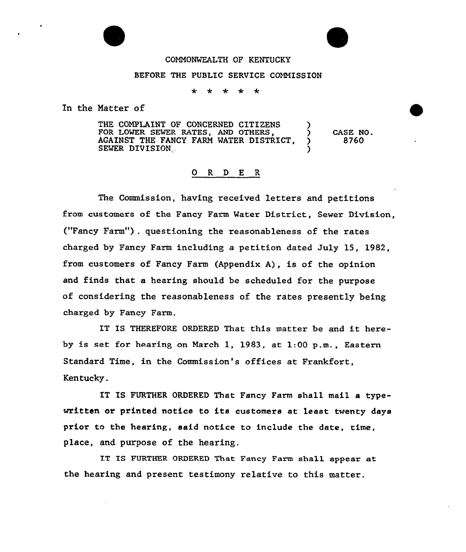## COMMONWEALTH OF KENTUCKY

### BEFORE THE PUBLIC SERVICE CONNISSION

\* -1-∗ ≁

In the Matter of

THE COMPLAINT OF CONCERNED CITIZENS FOR LOWER SEWER RATES, AND OTHERS, AGAINST THE FANCY FARM WATER DISTRICT, SEWER DIVISION, CASE NO. 8760

# O R D E R

The Commission, having received letters and petitions from customers of the Fancy Farm Water District, Sewer Division, ("Fancy Farm"). questioning the reasonableness of the rates charged by Fancy Farm including a petition dated July 15, 1982, from customers of Fancy Farm (Appendix A), is of the opinion and finds that a hearing should be scheduled for the purpose of considering the reasonableness of the rates presently being charged by Fancy Farm.

IT IS THEREFORE ORDERED That this matter be and it hereby is set for hearing on March 1, 1983, at 1:00 p.m., Eastern Standard Time, in the Commission's offices at Frankfort, Kentucky.

IT IS FURTHER ORDERED That Fancy Farm shall mail a type written or printed notice to its customers at least twenty days prior to the hearing, said notice to include the date, time, place, and purpose of the hearing.

IT IS FURTHER ORDERED That Fancy Farm sha11 appear at the hearing and present testimony relative to this matter.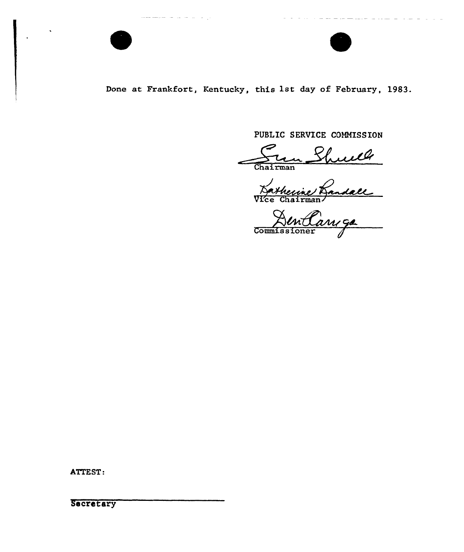

المدار المدار المدار المستعملة



Done at Frankfort, Kentucky, this 1st day of February, 1983.

PUBLIC SERVICE COMMISSION

Vice Chairman/

Commissione

ATTEST:

Secretary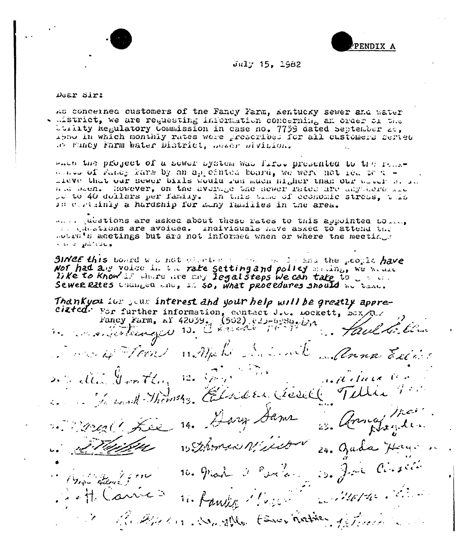



 $Ju1$ ; 15, 1982

#### Dear Sir:

AS concerned customers of the Fancy Farm, Aentucky sewer and Water . Astrict, we are requesting information concerning an order of the Utulity kegulatory Commission in case no. 7739 dated September 20, ibbo in which monthly rates were prescribed for all customers served uy Funcy Farm water District, meacr mivision.

when the project of a sewer system was first presented to the remewater of Fandy Farm by an appearted board, we were not fed to allmieve that our sewer bills would run much higher than our words of all man been. However, on the average the sewer rates are anythere are Ju to 40 dollars per family. In this time of coonomic stress, this In cartinly a hardship for many families in the area.

..... juestions are asked about these rates to this appointed to ..., se questions are avoided. Individuals have asked to attend the word's meetings but are not informed when or where the meetings وعافاه كشفور اعتادته

SINCE this board we not what the contract of the media have Not had any voice in the rate setting and policy making, we went Sewer Rates changed and, it so, what procedures should no read.

Thankyou ior your interest and your help will be greatly apprecizted. For further information, contact J.v. Lockett, box n. County Front willie Salmate Morra Evice  $12. \frac{2}{\sqrt{26}}$ refletues le 2. William Grootley 1. Thread Thomas, Elmen Clevel Tellie 1. 2. Anna Mai. May C Lie 14. Day Sam 24. Jada Hand 15 Schman Nijia Britannie 10. Mars. à Parle, 20. Juillet Cinstitut 1. 1. Restor in Deaths Committee former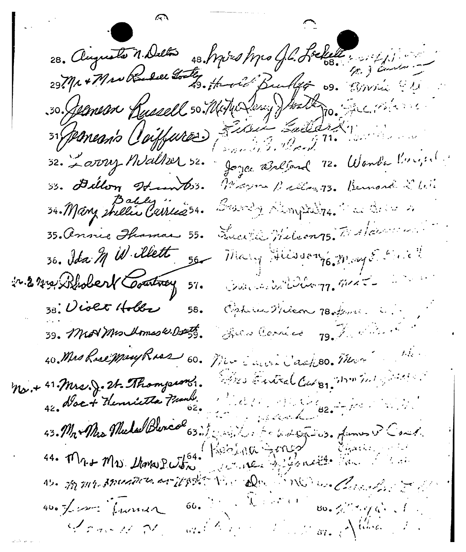48. April Inge of C. Lelule, 1997 28. Auguste n. Delto 29/1/1 + Mrs Reader Solg, the old Building 09. Biring 4.15 30. Jeanson Russell 50. Mother Lerry Josta Jo. Frederick Fire Ealland 31 Spanean's Claiffures Joyce Bellard 72. Wonde l'uniul 32. Lorry Nedlier 52. 53. Dellon Hunts. Wayne Ballog 73. Bernard D. Will Bally :.<br>34. Mary sheller Carries 54. Brandy Alemphalizz, The British Succession Milconys. The Narrows with 35. Annie Framan 55. Mary Hicsdon 16. May 5 Field 36. Ida M W. Illett 56 Comments Pillemon mexical interest 1.2 rue Scholart Coutrey 57. 38. Diolt Holler Continue Milcon 78 April 2 2 19 19 58. Fred Comics 79. Jackson 39. Mod Mis Urmas W. Disting. Mer Cauri Carpo, Mor 1960 40. Mrs Lace May Ross 60. The Entral Cursos months and the Mr. + 41. Mrs. J. 2b. Thompsons.<br>42. Hoc + Henriette Frank. 1. (1962) - 1963 (1962) - presidentistas<br>1970 - Johann Labor, presidentistas 43. Mr Mrs Michael Blencol 63. 43. Mr Mrs Medar Durco 63. 1 par de la 105-103. June 1 Court.<br>44. Mrs Mrs. Money Uses (Précis 10 4000) Charles 11 15. mm. manders or works the De Kow and the Sea  $66.$  The contract  $\cos\phi/\sqrt{q}$ . 400 from froman  $\omega_{\ell,\ell} \in \mathbb{R}^{N_{\ell,\ell}}$  , where  $\omega_{\ell,\ell} \in \mathbb{R}^{N_{\ell,\ell}}$  and  $\omega_{\ell,\ell} \in \mathbb{R}^{N_{\ell,\ell}}$  . Sales of M.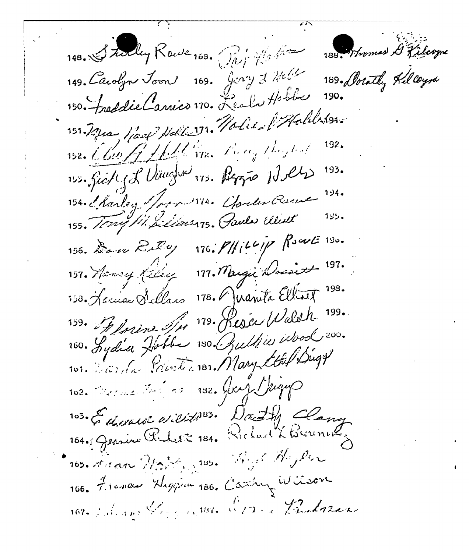148. Stally Rawe 168. Part of the 188. Thomas G. Kilcome 149. Carolyn Joon 169. Jury & Mill 189. Dorathy Kil Coyso 150. Freddie Carrico 170. Le la Hobbe 190. 151. Mus, Nach Hell 171. Nobel Mobiles. 152. Elio Att Mary Barylord 192. 153. Sich of Livedun 173. Pagaro Welz 193.  $194.$ 154. Marley Joan 1814. Claren Reme 155. Tony M. Lillauns. Paule Ellutt 156. Dan Ely 176. PHILLIP Rout 190. 157. Hanry Killey 177. Margi Dossier 197. 153. Kenne Sellars 178. Juanta Elliset 198. 159. Il forine Me 179. Reser Walsh 199. 160. Lydia Fjøthe 180. Bulkus idood 200. 101. Darda Painter 181. Mary Attil Digg? 102. Decembre 741 50 182. Gray Grigos 103. Edward Willit<sup>83.</sup> Dough Clang 164. Jernine Redet 184. Richard & Berning 165. Fran Horty 189. Byl Hopker 166. France Higgin 186. Carry Wilson 167. J. J. a. Mary 1981. Rosa Budgea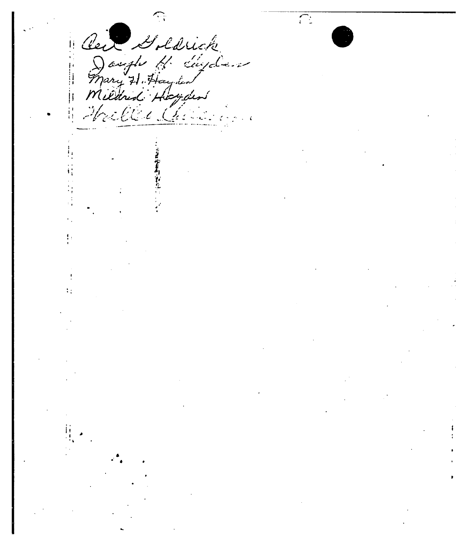Ceil Goldrick Saught H. Surgland Haller Children

医皮肤病 化反应

 $\bigcap_{i=1}^n$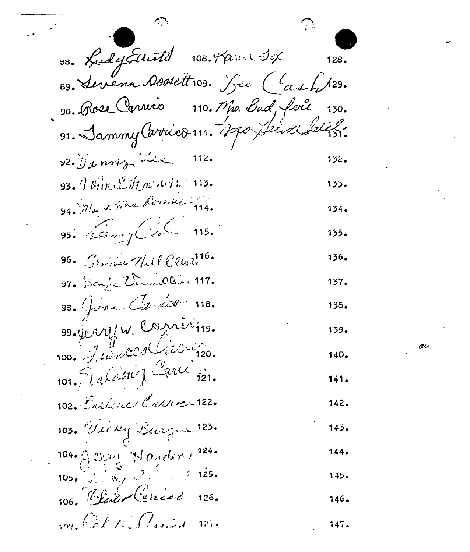58. LudyEllests 108. Rann IX 128. 89. Sevena Dossett 109. Je (Cash, 129. 90. Rose Carrico 110. Mis. Bud, foil 130. 91. Sammy Carrico 111. Margin Seine Sziel. 92. James Le  $112.$  $132.$ 93. 3 Bin Litt power 1 113. 133. 94. Mr. 1. Whis Lorence 114. 134. 95.  $2sin(y)/\sqrt{2}$  115. 135. 96. Boston Nell Clerk 116. 136. 97. Sayle Vanneline 117.  $137.$ 98. June Coulor 118. 138. 99. Jerry (W. Comprisoner) 139. 100. June 100 1 Citté 120. 140. 101. Jakobne) Carrigin. 141. 102. Eachere Cassica 122. 142. 103. Wicky Burger 123. 143. 104. Jour Worden, 124. 144. 145. 106. Early Carried 126. 146. 301 Col. B. Corners 181. 147.

av